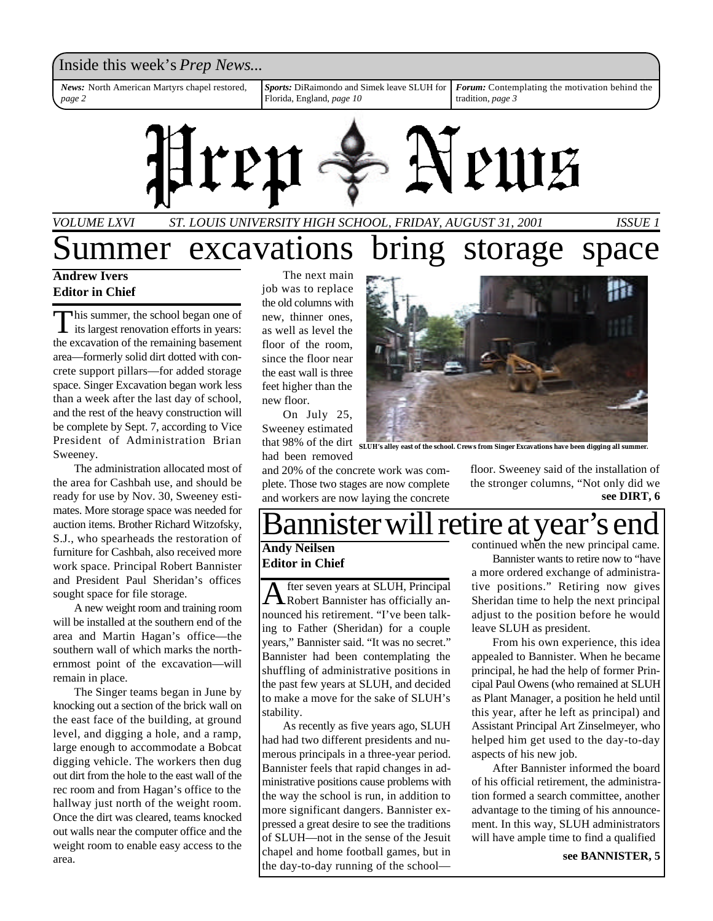### Inside this week's *Prep News*...

*News:* North American Martyrs chapel restored, *page 2*

*Sports:* DiRaimondo and Simek leave SLUH for Florida, England, *page 10*

*Forum:* Contemplating the motivation behind the tradition, *page 3*



## *VOLUME LXVI ST. LOUIS UNIVERSITY HIGH SCHOOL, FRIDAY, AUGUST 31, 2001 ISSUE 1* ummer excavations bring storage space

### **Andrew Ivers Editor in Chief**

This summer, the school began one of<br>its largest renovation efforts in years: his summer, the school began one of the excavation of the remaining basement area—formerly solid dirt dotted with concrete support pillars—for added storage space. Singer Excavation began work less than a week after the last day of school, and the rest of the heavy construction will be complete by Sept. 7, according to Vice President of Administration Brian Sweeney.

The administration allocated most of the area for Cashbah use, and should be ready for use by Nov. 30, Sweeney estimates. More storage space was needed for auction items. Brother Richard Witzofsky, S.J., who spearheads the restoration of furniture for Cashbah, also received more work space. Principal Robert Bannister and President Paul Sheridan's offices sought space for file storage.

A new weight room and training room will be installed at the southern end of the area and Martin Hagan's office—the southern wall of which marks the northernmost point of the excavation—will remain in place.

The Singer teams began in June by knocking out a section of the brick wall on the east face of the building, at ground level, and digging a hole, and a ramp, large enough to accommodate a Bobcat digging vehicle. The workers then dug out dirt from the hole to the east wall of the rec room and from Hagan's office to the hallway just north of the weight room. Once the dirt was cleared, teams knocked out walls near the computer office and the weight room to enable easy access to the area.

The next main job was to replace the old columns with new, thinner ones, as well as level the floor of the room, since the floor near the east wall is three feet higher than the new floor.

On July 25, Sweeney estimated had been removed

and 20% of the concrete work was complete. Those two stages are now complete and workers are now laying the concrete floor. Sweeney said of the installation of the stronger columns, "Not only did we **see DIRT, 6**

## Bannister will retire at year's end

## **Editor in Chief**

A fter seven years at SLUH, Principal<br>Robert Bannister has officially anfter seven years at SLUH, Principal nounced his retirement. "I've been talking to Father (Sheridan) for a couple years," Bannister said. "It was no secret." Bannister had been contemplating the shuffling of administrative positions in the past few years at SLUH, and decided to make a move for the sake of SLUH's stability.

As recently as five years ago, SLUH had had two different presidents and numerous principals in a three-year period. Bannister feels that rapid changes in administrative positions cause problems with the way the school is run, in addition to more significant dangers. Bannister expressed a great desire to see the traditions of SLUH—not in the sense of the Jesuit chapel and home football games, but in the day-to-day running of the school—

**Andy Neilsen** continued when the new principal came.

Bannister wants to retire now to "have a more ordered exchange of administrative positions." Retiring now gives Sheridan time to help the next principal adjust to the position before he would leave SLUH as president.

From his own experience, this idea appealed to Bannister. When he became principal, he had the help of former Principal Paul Owens (who remained at SLUH as Plant Manager, a position he held until this year, after he left as principal) and Assistant Principal Art Zinselmeyer, who helped him get used to the day-to-day aspects of his new job.

After Bannister informed the board of his official retirement, the administration formed a search committee, another advantage to the timing of his announcement. In this way, SLUH administrators will have ample time to find a qualified

**see BANNISTER, 5**



that 98% of the dirt **SLUH's alley east of the school. Crews from Singer Excavations have been digging all summer.**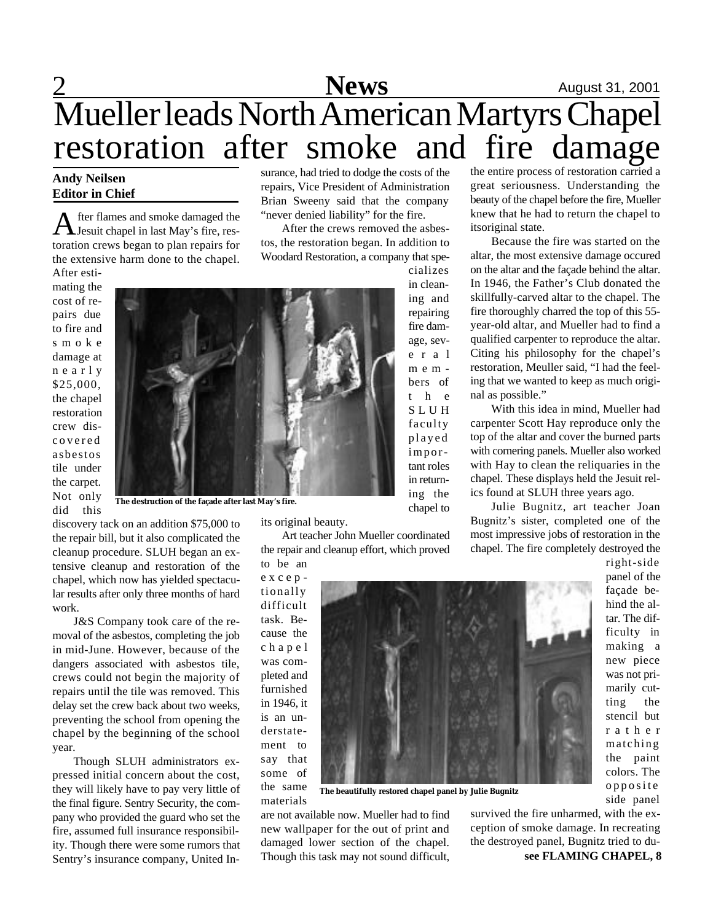## **2** August 31, 2001 Mueller leads North American Martyrs Chapel restoration after smoke and fire damage surance, had tried to dodge the costs of the

repairs, Vice President of Administration Brian Sweeny said that the company "never denied liability" for the fire.

After the crews removed the asbes-

### **Andy Neilsen Editor in Chief**

A fter flames and smoke damaged the<br>Jesuit chapel in last May's fire, resfter flames and smoke damaged the toration crews began to plan repairs for the extensive harm done to the chapel. After esti-

mating the cost of repairs due to fire and s m o k e damage at n e a r l y \$25,000, the chapel restoration crew discovered asbestos tile under the carpet. Not only did this

**The destruction of the façade after last May's fire.**

discovery tack on an addition \$75,000 to the repair bill, but it also complicated the cleanup procedure. SLUH began an extensive cleanup and restoration of the chapel, which now has yielded spectacular results after only three months of hard work.

J&S Company took care of the removal of the asbestos, completing the job in mid-June. However, because of the dangers associated with asbestos tile, crews could not begin the majority of repairs until the tile was removed. This delay set the crew back about two weeks, preventing the school from opening the chapel by the beginning of the school year.

Though SLUH administrators expressed initial concern about the cost, they will likely have to pay very little of the final figure. Sentry Security, the company who provided the guard who set the fire, assumed full insurance responsibility. Though there were some rumors that Sentry's insurance company, United In-

the repair and cleanup effort, which proved

tionally difficult task. Because the c h a p e l was completed and furnished in 1946, it is an understatement to say that some of the same materials

**The beautifully restored chapel panel by Julie Bugnitz**

are not available now. Mueller had to find new wallpaper for the out of print and damaged lower section of the chapel. Though this task may not sound difficult, the entire process of restoration carried a great seriousness. Understanding the beauty of the chapel before the fire, Mueller knew that he had to return the chapel to itsoriginal state.

Because the fire was started on the altar, the most extensive damage occured on the altar and the façade behind the altar. In 1946, the Father's Club donated the skillfully-carved altar to the chapel. The fire thoroughly charred the top of this 55 year-old altar, and Mueller had to find a qualified carpenter to reproduce the altar. Citing his philosophy for the chapel's restoration, Meuller said, "I had the feeling that we wanted to keep as much original as possible."

With this idea in mind, Mueller had carpenter Scott Hay reproduce only the top of the altar and cover the burned parts with cornering panels. Mueller also worked with Hay to clean the reliquaries in the chapel. These displays held the Jesuit relics found at SLUH three years ago.

Julie Bugnitz, art teacher Joan Bugnitz's sister, completed one of the most impressive jobs of restoration in the chapel. The fire completely destroyed the

> right-side panel of the façade behind the altar. The difficulty in making a new piece was not primarily cutting the stencil but r a t h e r matching the paint colors. The opposite side panel

**see FLAMING CHAPEL, 8** survived the fire unharmed, with the exception of smoke damage. In recreating the destroyed panel, Bugnitz tried to du-



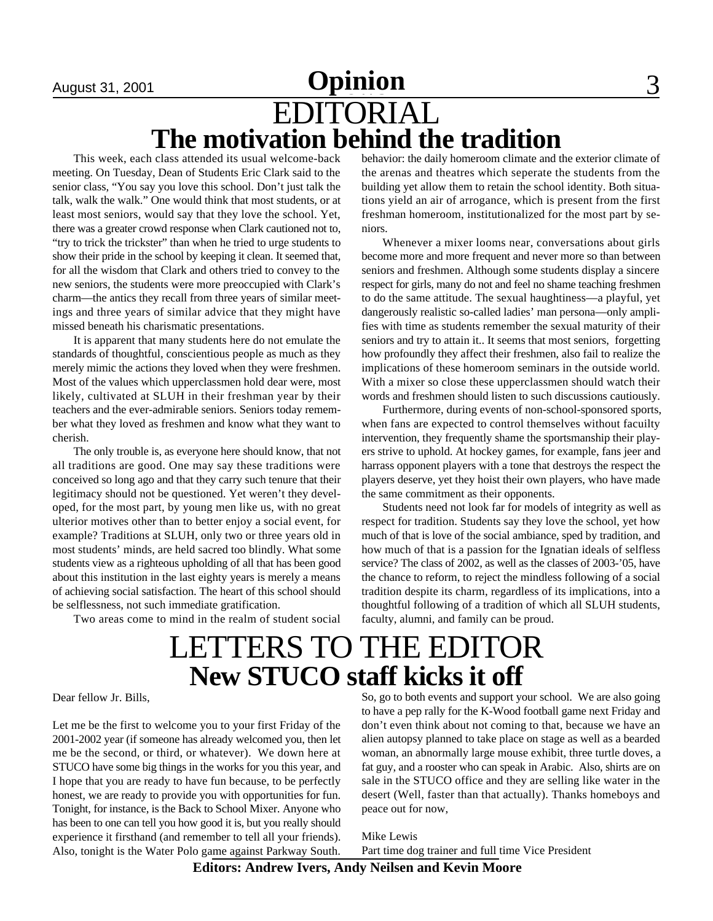## August 31, 2001 **Commercial Cydinion** 3 EDITORIAL **The motivation behind the tradition**

This week, each class attended its usual welcome-back meeting. On Tuesday, Dean of Students Eric Clark said to the senior class, "You say you love this school. Don't just talk the talk, walk the walk." One would think that most students, or at least most seniors, would say that they love the school. Yet, there was a greater crowd response when Clark cautioned not to, "try to trick the trickster" than when he tried to urge students to show their pride in the school by keeping it clean. It seemed that, for all the wisdom that Clark and others tried to convey to the new seniors, the students were more preoccupied with Clark's charm—the antics they recall from three years of similar meetings and three years of similar advice that they might have missed beneath his charismatic presentations.

It is apparent that many students here do not emulate the standards of thoughtful, conscientious people as much as they merely mimic the actions they loved when they were freshmen. Most of the values which upperclassmen hold dear were, most likely, cultivated at SLUH in their freshman year by their teachers and the ever-admirable seniors. Seniors today remember what they loved as freshmen and know what they want to cherish.

The only trouble is, as everyone here should know, that not all traditions are good. One may say these traditions were conceived so long ago and that they carry such tenure that their legitimacy should not be questioned. Yet weren't they developed, for the most part, by young men like us, with no great ulterior motives other than to better enjoy a social event, for example? Traditions at SLUH, only two or three years old in most students' minds, are held sacred too blindly. What some students view as a righteous upholding of all that has been good about this institution in the last eighty years is merely a means of achieving social satisfaction. The heart of this school should be selflessness, not such immediate gratification.

Two areas come to mind in the realm of student social

behavior: the daily homeroom climate and the exterior climate of the arenas and theatres which seperate the students from the building yet allow them to retain the school identity. Both situations yield an air of arrogance, which is present from the first freshman homeroom, institutionalized for the most part by seniors.

Whenever a mixer looms near, conversations about girls become more and more frequent and never more so than between seniors and freshmen. Although some students display a sincere respect for girls, many do not and feel no shame teaching freshmen to do the same attitude. The sexual haughtiness—a playful, yet dangerously realistic so-called ladies' man persona—only amplifies with time as students remember the sexual maturity of their seniors and try to attain it.. It seems that most seniors, forgetting how profoundly they affect their freshmen, also fail to realize the implications of these homeroom seminars in the outside world. With a mixer so close these upperclassmen should watch their words and freshmen should listen to such discussions cautiously.

Furthermore, during events of non-school-sponsored sports, when fans are expected to control themselves without facuilty intervention, they frequently shame the sportsmanship their players strive to uphold. At hockey games, for example, fans jeer and harrass opponent players with a tone that destroys the respect the players deserve, yet they hoist their own players, who have made the same commitment as their opponents.

Students need not look far for models of integrity as well as respect for tradition. Students say they love the school, yet how much of that is love of the social ambiance, sped by tradition, and how much of that is a passion for the Ignatian ideals of selfless service? The class of 2002, as well as the classes of 2003-'05, have the chance to reform, to reject the mindless following of a social tradition despite its charm, regardless of its implications, into a thoughtful following of a tradition of which all SLUH students, faculty, alumni, and family can be proud.

## LETTERS TO THE EDITOR **New STUCO staff kicks it off**

Dear fellow Jr. Bills,

Let me be the first to welcome you to your first Friday of the 2001-2002 year (if someone has already welcomed you, then let me be the second, or third, or whatever). We down here at STUCO have some big things in the works for you this year, and I hope that you are ready to have fun because, to be perfectly honest, we are ready to provide you with opportunities for fun. Tonight, for instance, is the Back to School Mixer. Anyone who has been to one can tell you how good it is, but you really should experience it firsthand (and remember to tell all your friends). Also, tonight is the Water Polo game against Parkway South.

So, go to both events and support your school. We are also going to have a pep rally for the K-Wood football game next Friday and don't even think about not coming to that, because we have an alien autopsy planned to take place on stage as well as a bearded woman, an abnormally large mouse exhibit, three turtle doves, a fat guy, and a rooster who can speak in Arabic. Also, shirts are on sale in the STUCO office and they are selling like water in the desert (Well, faster than that actually). Thanks homeboys and peace out for now,

Mike Lewis Part time dog trainer and full time Vice President

**Editors: Andrew Ivers, Andy Neilsen and Kevin Moore**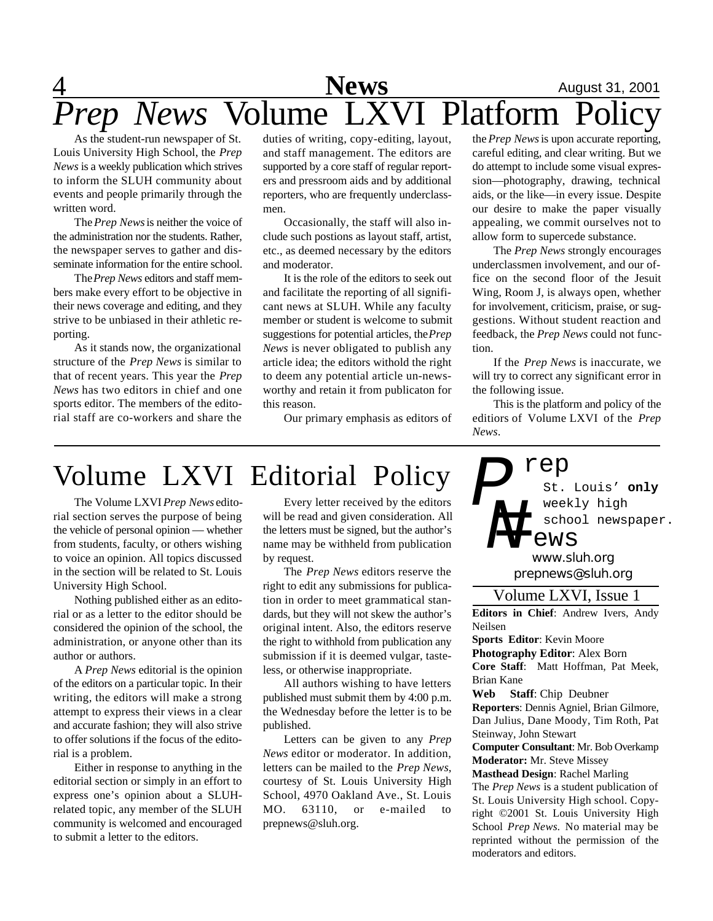

As the student-run newspaper of St. Louis University High School, the *Prep News* is a weekly publication which strives to inform the SLUH community about events and people primarily through the written word.

The *Prep News* is neither the voice of the administration nor the students. Rather, the newspaper serves to gather and disseminate information for the entire school.

The *Prep News* editors and staff members make every effort to be objective in their news coverage and editing, and they strive to be unbiased in their athletic reporting.

As it stands now, the organizational structure of the *Prep News* is similar to that of recent years. This year the *Prep News* has two editors in chief and one sports editor. The members of the editorial staff are co-workers and share the duties of writing, copy-editing, layout, and staff management. The editors are supported by a core staff of regular reporters and pressroom aids and by additional reporters, who are frequently underclassmen.

Occasionally, the staff will also include such postions as layout staff, artist, etc., as deemed necessary by the editors and moderator.

It is the role of the editors to seek out and facilitate the reporting of all significant news at SLUH. While any faculty member or student is welcome to submit suggestions for potential articles, the *Prep News* is never obligated to publish any article idea; the editors withold the right to deem any potential article un-newsworthy and retain it from publicaton for this reason.

Our primary emphasis as editors of

the *Prep News* is upon accurate reporting, careful editing, and clear writing. But we do attempt to include some visual expression—photography, drawing, technical aids, or the like—in every issue. Despite our desire to make the paper visually appealing, we commit ourselves not to allow form to supercede substance.

The *Prep News* strongly encourages underclassmen involvement, and our office on the second floor of the Jesuit Wing, Room J, is always open, whether for involvement, criticism, praise, or suggestions. Without student reaction and feedback, the *Prep News* could not function.

If the *Prep News* is inaccurate, we will try to correct any significant error in the following issue.

This is the platform and policy of the editiors of Volume LXVI of the *Prep News*.

## Volume LXVI Editorial Policy

The Volume LXVI *Prep News* editorial section serves the purpose of being the vehicle of personal opinion — whether from students, faculty, or others wishing to voice an opinion. All topics discussed in the section will be related to St. Louis University High School.

Nothing published either as an editorial or as a letter to the editor should be considered the opinion of the school, the administration, or anyone other than its author or authors.

A *Prep News* editorial is the opinion of the editors on a particular topic. In their writing, the editors will make a strong attempt to express their views in a clear and accurate fashion; they will also strive to offer solutions if the focus of the editorial is a problem.

Either in response to anything in the editorial section or simply in an effort to express one's opinion about a SLUHrelated topic, any member of the SLUH community is welcomed and encouraged to submit a letter to the editors.

Every letter received by the editors will be read and given consideration. All the letters must be signed, but the author's name may be withheld from publication by request.

The *Prep News* editors reserve the right to edit any submissions for publication in order to meet grammatical standards, but they will not skew the author's original intent. Also, the editors reserve the right to withhold from publication any submission if it is deemed vulgar, tasteless, or otherwise inappropriate.

All authors wishing to have letters published must submit them by 4:00 p.m. the Wednesday before the letter is to be published.

Letters can be given to any *Prep News* editor or moderator. In addition, letters can be mailed to the *Prep News*, courtesy of St. Louis University High School, 4970 Oakland Ave., St. Louis MO. 63110, or e-mailed to prepnews@sluh.org.

St. Louis' **only** weekly high school newspaper. *P N=* rep *www.sluh.org* ews

*prepnews@sluh.org*

Volume LXVI, Issue 1

**Editors in Chief**: Andrew Ivers, Andy Neilsen

**Sports Editor**: Kevin Moore

**Photography Editor**: Alex Born

**Core Staff**: Matt Hoffman, Pat Meek, Brian Kane

**Web Staff**: Chip Deubner **Reporters**: Dennis Agniel, Brian Gilmore, Dan Julius, Dane Moody, Tim Roth, Pat Steinway, John Stewart

**Computer Consultant**: Mr. Bob Overkamp **Moderator:** Mr. Steve Missey

**Masthead Design**: Rachel Marling The *Prep News* is a student publication of St. Louis University High school. Copyright ©2001 St. Louis University High School *Prep News.* No material may be reprinted without the permission of the moderators and editors.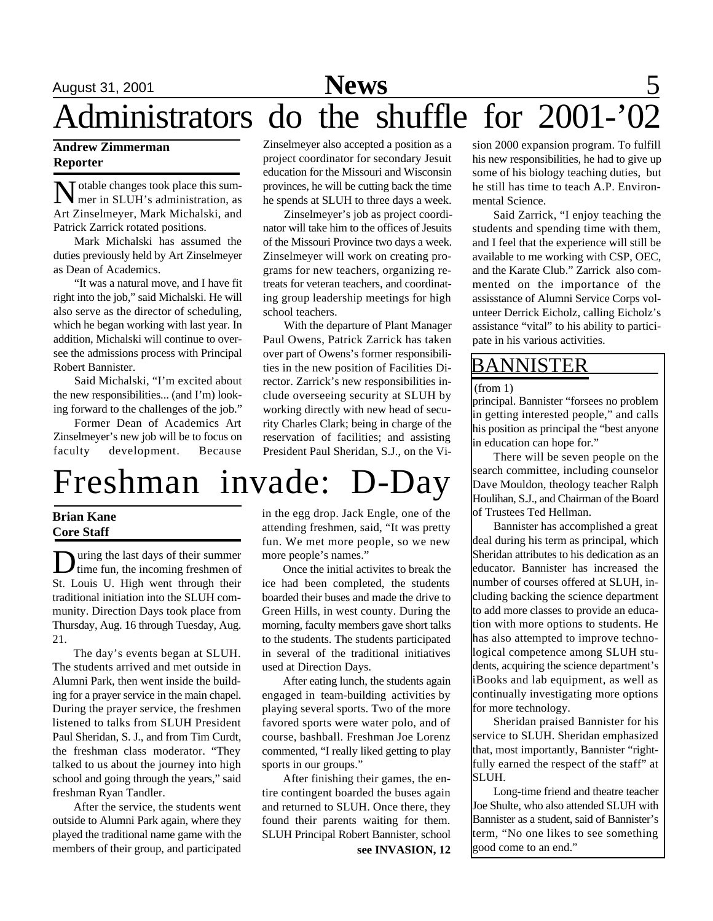# August 31, 2001 **News** 5 Administrators do the shuffle for 2001-'02

### **Andrew Zimmerman Reporter**

Motable changes took place this sum-<br>mer in SLUH's administration, as  $\mathsf{T}$  otable changes took place this sum-Art Zinselmeyer, Mark Michalski, and Patrick Zarrick rotated positions.

Mark Michalski has assumed the duties previously held by Art Zinselmeyer as Dean of Academics.

"It was a natural move, and I have fit right into the job," said Michalski. He will also serve as the director of scheduling, which he began working with last year. In addition, Michalski will continue to oversee the admissions process with Principal Robert Bannister.

Said Michalski, "I'm excited about the new responsibilities... (and I'm) looking forward to the challenges of the job."

Former Dean of Academics Art Zinselmeyer's new job will be to focus on faculty development. Because Zinselmeyer also accepted a position as a project coordinator for secondary Jesuit education for the Missouri and Wisconsin provinces, he will be cutting back the time he spends at SLUH to three days a week.

Zinselmeyer's job as project coordinator will take him to the offices of Jesuits of the Missouri Province two days a week. Zinselmeyer will work on creating programs for new teachers, organizing retreats for veteran teachers, and coordinating group leadership meetings for high school teachers.

With the departure of Plant Manager Paul Owens, Patrick Zarrick has taken over part of Owens's former responsibilities in the new position of Facilities Director. Zarrick's new responsibilities include overseeing security at SLUH by working directly with new head of security Charles Clark; being in charge of the reservation of facilities; and assisting President Paul Sheridan, S.J., on the Vi-

# Freshman invade: D-Day

### **Brian Kane Core Staff**

**D** uring the last days of their summer<br>time fun, the incoming freshmen of uring the last days of their summer St. Louis U. High went through their traditional initiation into the SLUH community. Direction Days took place from Thursday, Aug. 16 through Tuesday, Aug. 21.

The day's events began at SLUH. The students arrived and met outside in Alumni Park, then went inside the building for a prayer service in the main chapel. During the prayer service, the freshmen listened to talks from SLUH President Paul Sheridan, S. J., and from Tim Curdt, the freshman class moderator. "They talked to us about the journey into high school and going through the years," said freshman Ryan Tandler.

After the service, the students went outside to Alumni Park again, where they played the traditional name game with the members of their group, and participated

in the egg drop. Jack Engle, one of the attending freshmen, said, "It was pretty fun. We met more people, so we new more people's names."

Once the initial activites to break the ice had been completed, the students boarded their buses and made the drive to Green Hills, in west county. During the morning, faculty members gave short talks to the students. The students participated in several of the traditional initiatives used at Direction Days.

After eating lunch, the students again engaged in team-building activities by playing several sports. Two of the more favored sports were water polo, and of course, bashball. Freshman Joe Lorenz commented, "I really liked getting to play sports in our groups."

After finishing their games, the entire contingent boarded the buses again and returned to SLUH. Once there, they found their parents waiting for them. SLUH Principal Robert Bannister, school **see INVASION, 12**

sion 2000 expansion program. To fulfill his new responsibilities, he had to give up some of his biology teaching duties, but he still has time to teach A.P. Environmental Science.

Said Zarrick, "I enjoy teaching the students and spending time with them, and I feel that the experience will still be available to me working with CSP, OEC, and the Karate Club." Zarrick also commented on the importance of the assisstance of Alumni Service Corps volunteer Derrick Eicholz, calling Eicholz's assistance "vital" to his ability to participate in his various activities.

### BANNISTER

### (from 1)

principal. Bannister "forsees no problem in getting interested people," and calls his position as principal the "best anyone in education can hope for."

There will be seven people on the search committee, including counselor Dave Mouldon, theology teacher Ralph Houlihan, S.J., and Chairman of the Board of Trustees Ted Hellman.

Bannister has accomplished a great deal during his term as principal, which Sheridan attributes to his dedication as an educator. Bannister has increased the number of courses offered at SLUH, including backing the science department to add more classes to provide an education with more options to students. He has also attempted to improve technological competence among SLUH students, acquiring the science department's iBooks and lab equipment, as well as continually investigating more options for more technology.

Sheridan praised Bannister for his service to SLUH. Sheridan emphasized that, most importantly, Bannister "rightfully earned the respect of the staff" at SLUH.

Long-time friend and theatre teacher Joe Shulte, who also attended SLUH with Bannister as a student, said of Bannister's term, "No one likes to see something good come to an end."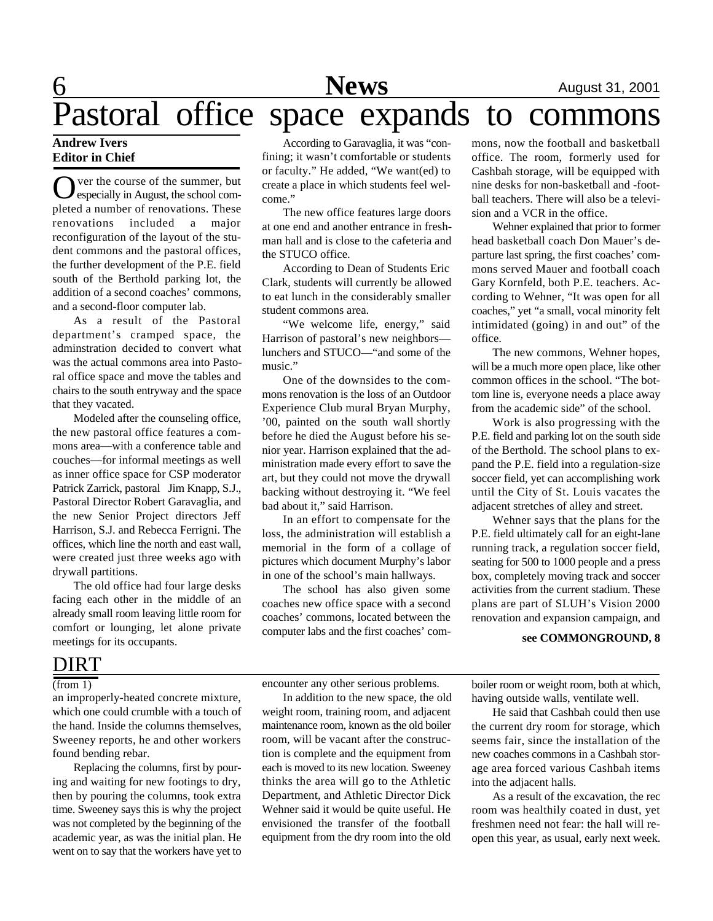### **Andrew Ivers Editor in Chief**

O ver the course of the summer, but<br>especially in August, the school comver the course of the summer, but pleted a number of renovations. These renovations included a major reconfiguration of the layout of the student commons and the pastoral offices, the further development of the P.E. field south of the Berthold parking lot, the addition of a second coaches' commons, and a second-floor computer lab.

As a result of the Pastoral department's cramped space, the adminstration decided to convert what was the actual commons area into Pastoral office space and move the tables and chairs to the south entryway and the space that they vacated.

Modeled after the counseling office, the new pastoral office features a commons area—with a conference table and couches—for informal meetings as well as inner office space for CSP moderator Patrick Zarrick, pastoral Jim Knapp, S.J., Pastoral Director Robert Garavaglia, and the new Senior Project directors Jeff Harrison, S.J. and Rebecca Ferrigni. The offices, which line the north and east wall, were created just three weeks ago with drywall partitions.

The old office had four large desks facing each other in the middle of an already small room leaving little room for comfort or lounging, let alone private meetings for its occupants.

### DIRT

### $(\overline{from} 1)$

an improperly-heated concrete mixture, which one could crumble with a touch of the hand. Inside the columns themselves, Sweeney reports, he and other workers found bending rebar.

Replacing the columns, first by pouring and waiting for new footings to dry, then by pouring the columns, took extra time. Sweeney says this is why the project was not completed by the beginning of the academic year, as was the initial plan. He went on to say that the workers have yet to

According to Garavaglia, it was "confining; it wasn't comfortable or students or faculty." He added, "We want(ed) to create a place in which students feel welcome."

The new office features large doors at one end and another entrance in freshman hall and is close to the cafeteria and the STUCO office.

According to Dean of Students Eric Clark, students will currently be allowed to eat lunch in the considerably smaller student commons area.

"We welcome life, energy," said Harrison of pastoral's new neighbors lunchers and STUCO—"and some of the music."

One of the downsides to the commons renovation is the loss of an Outdoor Experience Club mural Bryan Murphy, '00, painted on the south wall shortly before he died the August before his senior year. Harrison explained that the administration made every effort to save the art, but they could not move the drywall backing without destroying it. "We feel bad about it," said Harrison.

In an effort to compensate for the loss, the administration will establish a memorial in the form of a collage of pictures which document Murphy's labor in one of the school's main hallways.

The school has also given some coaches new office space with a second coaches' commons, located between the computer labs and the first coaches' com-

mons, now the football and basketball office. The room, formerly used for Cashbah storage, will be equipped with nine desks for non-basketball and -football teachers. There will also be a television and a VCR in the office.

Wehner explained that prior to former head basketball coach Don Mauer's departure last spring, the first coaches' commons served Mauer and football coach Gary Kornfeld, both P.E. teachers. According to Wehner, "It was open for all coaches," yet "a small, vocal minority felt intimidated (going) in and out" of the office.

The new commons, Wehner hopes, will be a much more open place, like other common offices in the school. "The bottom line is, everyone needs a place away from the academic side" of the school.

Work is also progressing with the P.E. field and parking lot on the south side of the Berthold. The school plans to expand the P.E. field into a regulation-size soccer field, yet can accomplishing work until the City of St. Louis vacates the adjacent stretches of alley and street.

Wehner says that the plans for the P.E. field ultimately call for an eight-lane running track, a regulation soccer field, seating for 500 to 1000 people and a press box, completely moving track and soccer activities from the current stadium. These plans are part of SLUH's Vision 2000 renovation and expansion campaign, and

#### **see COMMONGROUND, 8**

encounter any other serious problems.

In addition to the new space, the old weight room, training room, and adjacent maintenance room, known as the old boiler room, will be vacant after the construction is complete and the equipment from each is moved to its new location. Sweeney thinks the area will go to the Athletic Department, and Athletic Director Dick Wehner said it would be quite useful. He envisioned the transfer of the football equipment from the dry room into the old

boiler room or weight room, both at which, having outside walls, ventilate well.

He said that Cashbah could then use the current dry room for storage, which seems fair, since the installation of the new coaches commons in a Cashbah storage area forced various Cashbah items into the adjacent halls.

As a result of the excavation, the rec room was healthily coated in dust, yet freshmen need not fear: the hall will reopen this year, as usual, early next week.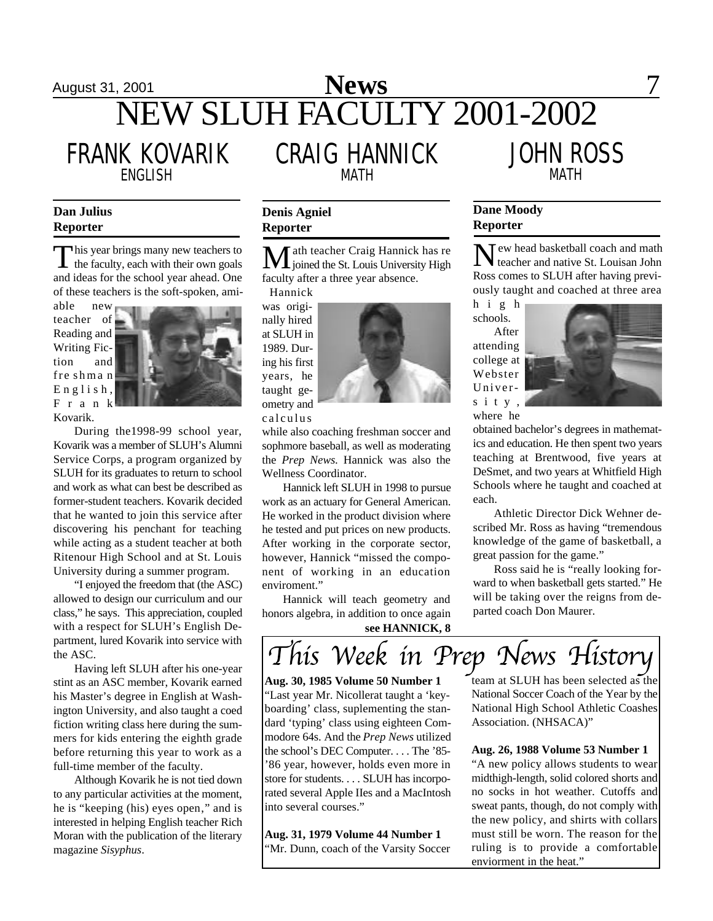## August 31, 2001 **News** 7 NEW SLUH FACULTY 2001-2002

FRANK KOVARIK

CRAIG HANNICK ENGLISH MATH MATH

### **Dan Julius Reporter**

This year brings many new teachers to<br>the faculty, each with their own goals his year brings many new teachers to and ideas for the school year ahead. One of these teachers is the soft-spoken, ami-

able new teacher of Reading and Writing Fiction and fre shma n  $E$  n g l i s h, F r a n k Kovarik.



During the1998-99 school year, Kovarik was a member of SLUH's Alumni Service Corps, a program organized by SLUH for its graduates to return to school and work as what can best be described as former-student teachers. Kovarik decided that he wanted to join this service after discovering his penchant for teaching while acting as a student teacher at both Ritenour High School and at St. Louis University during a summer program.

"I enjoyed the freedom that (the ASC) allowed to design our curriculum and our class," he says. This appreciation, coupled with a respect for SLUH's English Department, lured Kovarik into service with the ASC.

Having left SLUH after his one-year stint as an ASC member, Kovarik earned his Master's degree in English at Washington University, and also taught a coed fiction writing class here during the summers for kids entering the eighth grade before returning this year to work as a full-time member of the faculty.

Although Kovarik he is not tied down to any particular activities at the moment, he is "keeping (his) eyes open," and is interested in helping English teacher Rich Moran with the publication of the literary magazine *Sisyphus*.

### **Denis Agniel Reporter**

**M** ath teacher Craig Hannick has re<br>joined the St. Louis University High faculty after a three year absence.

Hannick was originally hired at SLUH in 1989. During his first years, he taught geometry and calculus



while also coaching freshman soccer and sophmore baseball, as well as moderating the *Prep News*. Hannick was also the Wellness Coordinator.

Hannick left SLUH in 1998 to pursue work as an actuary for General American. He worked in the product division where he tested and put prices on new products. After working in the corporate sector, however, Hannick "missed the component of working in an education enviroment."

Hannick will teach geometry and honors algebra, in addition to once again **see HANNICK, 8**

## **Dane Moody**

**Reporter**

New head basketball coach and math teacher and native St. Louisan John Ross comes to SLUH after having previously taught and coached at three area

JOHN ROSS

h i g h schools.

After attending college at Webster Univers i t y , where he



obtained bachelor's degrees in mathematics and education. He then spent two years teaching at Brentwood, five years at DeSmet, and two years at Whitfield High Schools where he taught and coached at each.

Athletic Director Dick Wehner described Mr. Ross as having "tremendous knowledge of the game of basketball, a great passion for the game."

Ross said he is "really looking forward to when basketball gets started." He will be taking over the reigns from departed coach Don Maurer.



**Aug. 30, 1985 Volume 50 Number 1** "Last year Mr. Nicollerat taught a 'keyboarding' class, suplementing the standard 'typing' class using eighteen Commodore 64s. And the *Prep News* utilized the school's DEC Computer. . . . The '85- '86 year, however, holds even more in store for students. . . . SLUH has incorporated several Apple IIes and a MacIntosh into several courses."

**Aug. 31, 1979 Volume 44 Number 1** 'Mr. Dunn, coach of the Varsity Soccer team at SLUH has been selected as the National Soccer Coach of the Year by the National High School Athletic Coashes Association. (NHSACA)"

**Aug. 26, 1988 Volume 53 Number 1** "A new policy allows students to wear midthigh-length, solid colored shorts and no socks in hot weather. Cutoffs and sweat pants, though, do not comply with the new policy, and shirts with collars must still be worn. The reason for the ruling is to provide a comfortable enviorment in the heat."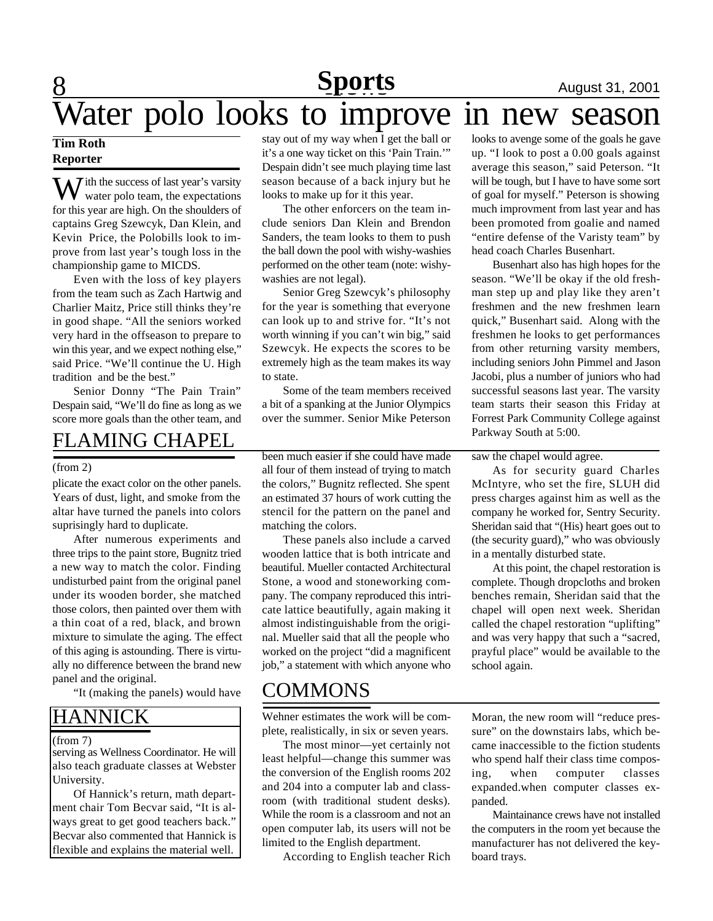### **8** 1991 12001 12001 12001 12001 12001 12001 12001 12001 12001 12001 12001 12001 12001 12001 12001 12001 12001 12001 12001 12001 1200 1200 1200 1200 1200 1200 1200 1200 1200 1200 1200 1200 1200 1200 1200 1200 1200 1200 120 **Sports**

### **Tim Roth Reporter**

 $\overline{J}$  ith the success of last year's varsity water polo team, the expectations for this year are high. On the shoulders of captains Greg Szewcyk, Dan Klein, and Kevin Price, the Polobills look to improve from last year's tough loss in the championship game to MICDS.

Even with the loss of key players from the team such as Zach Hartwig and Charlier Maitz, Price still thinks they're in good shape. "All the seniors worked very hard in the offseason to prepare to win this year, and we expect nothing else," said Price. "We'll continue the U. High tradition and be the best."

Senior Donny "The Pain Train" Despain said, "We'll do fine as long as we score more goals than the other team, and

## FLAMING CHAPEL

#### (from 2)

plicate the exact color on the other panels. Years of dust, light, and smoke from the altar have turned the panels into colors suprisingly hard to duplicate.

After numerous experiments and three trips to the paint store, Bugnitz tried a new way to match the color. Finding undisturbed paint from the original panel under its wooden border, she matched those colors, then painted over them with a thin coat of a red, black, and brown mixture to simulate the aging. The effect of this aging is astounding. There is virtually no difference between the brand new panel and the original.

"It (making the panels) would have

### HANNICK

#### (from 7)

serving as Wellness Coordinator. He will also teach graduate classes at Webster University.

Of Hannick's return, math department chair Tom Becvar said, "It is always great to get good teachers back." Becvar also commented that Hannick is flexible and explains the material well.

stay out of my way when I get the ball or it's a one way ticket on this 'Pain Train.'" Despain didn't see much playing time last season because of a back injury but he looks to make up for it this year. Water polo looks to improve in new season

> The other enforcers on the team include seniors Dan Klein and Brendon Sanders, the team looks to them to push the ball down the pool with wishy-washies performed on the other team (note: wishywashies are not legal).

> Senior Greg Szewcyk's philosophy for the year is something that everyone can look up to and strive for. "It's not worth winning if you can't win big," said Szewcyk. He expects the scores to be extremely high as the team makes its way to state.

> Some of the team members received a bit of a spanking at the Junior Olympics over the summer. Senior Mike Peterson

> been much easier if she could have made all four of them instead of trying to match the colors," Bugnitz reflected. She spent an estimated 37 hours of work cutting the stencil for the pattern on the panel and matching the colors.

> These panels also include a carved wooden lattice that is both intricate and beautiful. Mueller contacted Architectural Stone, a wood and stoneworking company. The company reproduced this intricate lattice beautifully, again making it almost indistinguishable from the original. Mueller said that all the people who worked on the project "did a magnificent job," a statement with which anyone who

### COMMONS

Wehner estimates the work will be complete, realistically, in six or seven years.

The most minor—yet certainly not least helpful—change this summer was the conversion of the English rooms 202 and 204 into a computer lab and classroom (with traditional student desks). While the room is a classroom and not an open computer lab, its users will not be limited to the English department.

According to English teacher Rich

looks to avenge some of the goals he gave up. "I look to post a 0.00 goals against average this season," said Peterson. "It will be tough, but I have to have some sort of goal for myself." Peterson is showing much improvment from last year and has been promoted from goalie and named "entire defense of the Varisty team" by head coach Charles Busenhart.

Busenhart also has high hopes for the season. "We'll be okay if the old freshman step up and play like they aren't freshmen and the new freshmen learn quick," Busenhart said. Along with the freshmen he looks to get performances from other returning varsity members, including seniors John Pimmel and Jason Jacobi, plus a number of juniors who had successful seasons last year. The varsity team starts their season this Friday at Forrest Park Community College against Parkway South at 5:00.

### saw the chapel would agree.

As for security guard Charles McIntyre, who set the fire, SLUH did press charges against him as well as the company he worked for, Sentry Security. Sheridan said that "(His) heart goes out to (the security guard)," who was obviously in a mentally disturbed state.

At this point, the chapel restoration is complete. Though dropcloths and broken benches remain, Sheridan said that the chapel will open next week. Sheridan called the chapel restoration "uplifting" and was very happy that such a "sacred, prayful place" would be available to the school again.

Moran, the new room will "reduce pressure" on the downstairs labs, which became inaccessible to the fiction students who spend half their class time composing, when computer classes expanded.when computer classes expanded.

Maintainance crews have not installed the computers in the room yet because the manufacturer has not delivered the keyboard trays.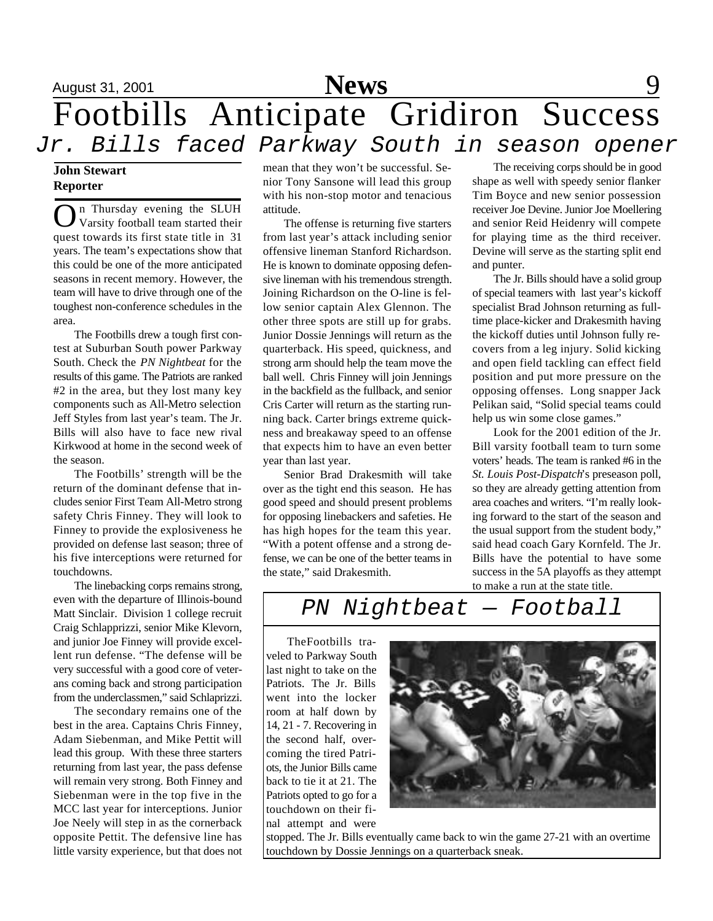

## August 31, 2001 **News** 9 Footbills Anticipate Gridiron Success *Jr. Bills faced Parkway South in season opener*

### **John Stewart Reporter**

**O**n Thursday evening the SLUH Varsity football team started their n Thursday evening the SLUH quest towards its first state title in 31 years. The team's expectations show that this could be one of the more anticipated seasons in recent memory. However, the team will have to drive through one of the toughest non-conference schedules in the area.

The Footbills drew a tough first contest at Suburban South power Parkway South. Check the *PN Nightbeat* for the results of this game. The Patriots are ranked #2 in the area, but they lost many key components such as All-Metro selection Jeff Styles from last year's team. The Jr. Bills will also have to face new rival Kirkwood at home in the second week of the season.

The Footbills' strength will be the return of the dominant defense that includes senior First Team All-Metro strong safety Chris Finney. They will look to Finney to provide the explosiveness he provided on defense last season; three of his five interceptions were returned for touchdowns.

The linebacking corps remains strong, even with the departure of Illinois-bound Matt Sinclair. Division 1 college recruit Craig Schlapprizzi, senior Mike Klevorn, and junior Joe Finney will provide excellent run defense. "The defense will be very successful with a good core of veterans coming back and strong participation from the underclassmen," said Schlaprizzi.

The secondary remains one of the best in the area. Captains Chris Finney, Adam Siebenman, and Mike Pettit will lead this group. With these three starters returning from last year, the pass defense will remain very strong. Both Finney and Siebenman were in the top five in the MCC last year for interceptions. Junior Joe Neely will step in as the cornerback opposite Pettit. The defensive line has little varsity experience, but that does not

mean that they won't be successful. Senior Tony Sansone will lead this group with his non-stop motor and tenacious attitude.

The offense is returning five starters from last year's attack including senior offensive lineman Stanford Richardson. He is known to dominate opposing defensive lineman with his tremendous strength. Joining Richardson on the O-line is fellow senior captain Alex Glennon. The other three spots are still up for grabs. Junior Dossie Jennings will return as the quarterback. His speed, quickness, and strong arm should help the team move the ball well. Chris Finney will join Jennings in the backfield as the fullback, and senior Cris Carter will return as the starting running back. Carter brings extreme quickness and breakaway speed to an offense that expects him to have an even better year than last year.

Senior Brad Drakesmith will take over as the tight end this season. He has good speed and should present problems for opposing linebackers and safeties. He has high hopes for the team this year. "With a potent offense and a strong defense, we can be one of the better teams in the state," said Drakesmith.

The receiving corps should be in good shape as well with speedy senior flanker Tim Boyce and new senior possession receiver Joe Devine. Junior Joe Moellering and senior Reid Heidenry will compete for playing time as the third receiver. Devine will serve as the starting split end and punter.

The Jr. Bills should have a solid group of special teamers with last year's kickoff specialist Brad Johnson returning as fulltime place-kicker and Drakesmith having the kickoff duties until Johnson fully recovers from a leg injury. Solid kicking and open field tackling can effect field position and put more pressure on the opposing offenses. Long snapper Jack Pelikan said, "Solid special teams could help us win some close games."

Look for the 2001 edition of the Jr. Bill varsity football team to turn some voters' heads. The team is ranked #6 in the *St. Louis Post-Dispatch*'s preseason poll, so they are already getting attention from area coaches and writers. "I'm really looking forward to the start of the season and the usual support from the student body," said head coach Gary Kornfeld. The Jr. Bills have the potential to have some success in the 5A playoffs as they attempt to make a run at the state title.

## *PN Nightbeat — Football*

TheFootbills traveled to Parkway South last night to take on the Patriots. The Jr. Bills went into the locker room at half down by 14, 21 - 7. Recovering in the second half, overcoming the tired Patriots, the Junior Bills came back to tie it at 21. The Patriots opted to go for a touchdown on their final attempt and were



stopped. The Jr. Bills eventually came back to win the game 27-21 with an overtime touchdown by Dossie Jennings on a quarterback sneak.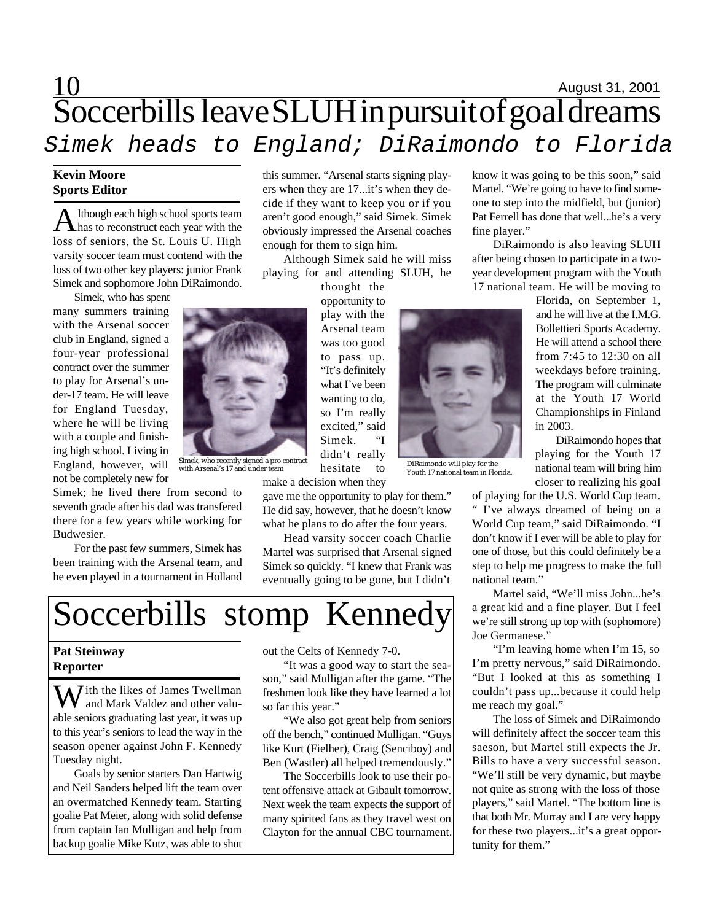## $\frac{10}{2}$  August 31, 2001 Soccerbills leave SLUH in pursuit of goal dreams *Simek heads to England; DiRaimondo to Florida*

### **Kevin Moore Sports Editor**

A lthough each high school sports team<br>has to reconstruct each year with the lthough each high school sports team loss of seniors, the St. Louis U. High varsity soccer team must contend with the loss of two other key players: junior Frank Simek and sophomore John DiRaimondo.

Simek, who has spent

many summers training with the Arsenal soccer club in England, signed a four-year professional contract over the summer to play for Arsenal's under-17 team. He will leave for England Tuesday, where he will be living with a couple and finishing high school. Living in England, however, will not be completely new for

Simek; he lived there from second to seventh grade after his dad was transfered there for a few years while working for Budwesier.

For the past few summers, Simek has been training with the Arsenal team, and he even played in a tournament in Holland

this summer. "Arsenal starts signing players when they are 17...it's when they decide if they want to keep you or if you aren't good enough," said Simek. Simek obviously impressed the Arsenal coaches enough for them to sign him.

Although Simek said he will miss playing for and attending SLUH, he

thought the opportunity to play with the Arsenal team was too good to pass up. "It's definitely what I've been wanting to do, so I'm really excited," said Simek. "I didn't really hesitate to

gave me the opportunity to play for them." He did say, however, that he doesn't know what he plans to do after the four years.

Youth 17 national team in Florida.

Head varsity soccer coach Charlie Martel was surprised that Arsenal signed Simek so quickly. "I knew that Frank was eventually going to be gone, but I didn't



### **Pat Steinway Reporter**

W ith the likes of James Twellman and Mark Valdez and other valuable seniors graduating last year, it was up to this year's seniors to lead the way in the season opener against John F. Kennedy Tuesday night.

Goals by senior starters Dan Hartwig and Neil Sanders helped lift the team over an overmatched Kennedy team. Starting goalie Pat Meier, along with solid defense from captain Ian Mulligan and help from backup goalie Mike Kutz, was able to shut out the Celts of Kennedy 7-0.

"It was a good way to start the season," said Mulligan after the game. "The freshmen look like they have learned a lot so far this year."

"We also got great help from seniors off the bench," continued Mulligan. "Guys like Kurt (Fielher), Craig (Senciboy) and Ben (Wastler) all helped tremendously."

The Soccerbills look to use their potent offensive attack at Gibault tomorrow. Next week the team expects the support of many spirited fans as they travel west on Clayton for the annual CBC tournament. know it was going to be this soon," said Martel. "We're going to have to find someone to step into the midfield, but (junior) Pat Ferrell has done that well...he's a very fine player."

DiRaimondo is also leaving SLUH after being chosen to participate in a twoyear development program with the Youth 17 national team. He will be moving to

> Florida, on September 1, and he will live at the I.M.G. Bollettieri Sports Academy. He will attend a school there from 7:45 to 12:30 on all weekdays before training. The program will culminate at the Youth 17 World Championships in Finland in 2003.

> DiRaimondo hopes that playing for the Youth 17 national team will bring him closer to realizing his goal

of playing for the U.S. World Cup team. " I've always dreamed of being on a World Cup team," said DiRaimondo. "I don't know if I ever will be able to play for one of those, but this could definitely be a step to help me progress to make the full national team."

Martel said, "We'll miss John...he's a great kid and a fine player. But I feel we're still strong up top with (sophomore) Joe Germanese."

"I'm leaving home when I'm 15, so I'm pretty nervous," said DiRaimondo. "But I looked at this as something I couldn't pass up...because it could help me reach my goal."

The loss of Simek and DiRaimondo will definitely affect the soccer team this saeson, but Martel still expects the Jr. Bills to have a very successful season. "We'll still be very dynamic, but maybe not quite as strong with the loss of those players," said Martel. "The bottom line is that both Mr. Murray and I are very happy for these two players...it's a great opportunity for them."



Simek, who recently signed a pro contract<br>with Arsenal's 17 and under team hesitate to youth Arsenal's 17 and under team

make a decision when they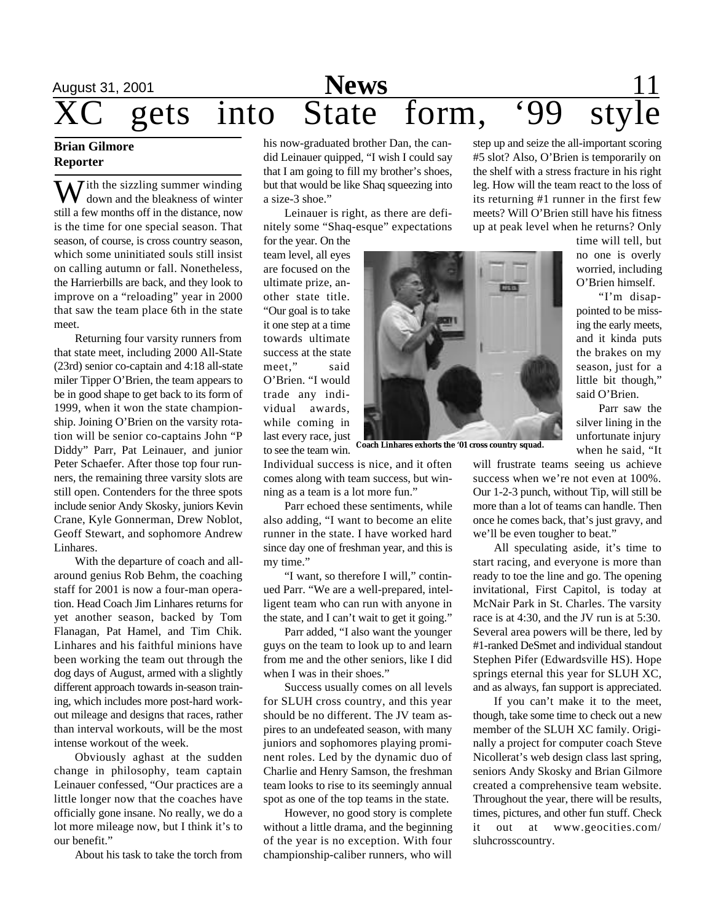# August 31, 2001 **News** 11  $\frac{\text{News}}{\text{gets} \quad \text{into} \quad \text{State} \quad \text{form}, \quad \text{'99} \quad \text{style}}$

### **Brian Gilmore Reporter**

 $\bar{J}$  ith the sizzling summer winding down and the bleakness of winter still a few months off in the distance, now is the time for one special season. That season, of course, is cross country season, which some uninitiated souls still insist on calling autumn or fall. Nonetheless, the Harrierbills are back, and they look to improve on a "reloading" year in 2000 that saw the team place 6th in the state meet.

Returning four varsity runners from that state meet, including 2000 All-State (23rd) senior co-captain and 4:18 all-state miler Tipper O'Brien, the team appears to be in good shape to get back to its form of 1999, when it won the state championship. Joining O'Brien on the varsity rotation will be senior co-captains John "P Diddy" Parr, Pat Leinauer, and junior Peter Schaefer. After those top four runners, the remaining three varsity slots are still open. Contenders for the three spots include senior Andy Skosky, juniors Kevin Crane, Kyle Gonnerman, Drew Noblot, Geoff Stewart, and sophomore Andrew Linhares.

With the departure of coach and allaround genius Rob Behm, the coaching staff for 2001 is now a four-man operation. Head Coach Jim Linhares returns for yet another season, backed by Tom Flanagan, Pat Hamel, and Tim Chik. Linhares and his faithful minions have been working the team out through the dog days of August, armed with a slightly different approach towards in-season training, which includes more post-hard workout mileage and designs that races, rather than interval workouts, will be the most intense workout of the week.

Obviously aghast at the sudden change in philosophy, team captain Leinauer confessed, "Our practices are a little longer now that the coaches have officially gone insane. No really, we do a lot more mileage now, but I think it's to our benefit."

About his task to take the torch from

his now-graduated brother Dan, the candid Leinauer quipped, "I wish I could say that I am going to fill my brother's shoes, but that would be like Shaq squeezing into a size-3 shoe."

Leinauer is right, as there are definitely some "Shaq-esque" expectations

for the year. On the team level, all eyes are focused on the ultimate prize, another state title. "Our goal is to take it one step at a time towards ultimate success at the state meet," said O'Brien. "I would trade any individual awards, while coming in last every race, just to see the team win.

**Coach Linhares exhorts the '01 cross country squad.**

Individual success is nice, and it often comes along with team success, but winning as a team is a lot more fun."

Parr echoed these sentiments, while also adding, "I want to become an elite runner in the state. I have worked hard since day one of freshman year, and this is my time."

"I want, so therefore I will," continued Parr. "We are a well-prepared, intelligent team who can run with anyone in the state, and I can't wait to get it going."

Parr added, "I also want the younger guys on the team to look up to and learn from me and the other seniors, like I did when I was in their shoes."

Success usually comes on all levels for SLUH cross country, and this year should be no different. The JV team aspires to an undefeated season, with many juniors and sophomores playing prominent roles. Led by the dynamic duo of Charlie and Henry Samson, the freshman team looks to rise to its seemingly annual spot as one of the top teams in the state.

However, no good story is complete without a little drama, and the beginning of the year is no exception. With four championship-caliber runners, who will

step up and seize the all-important scoring #5 slot? Also, O'Brien is temporarily on the shelf with a stress fracture in his right leg. How will the team react to the loss of its returning #1 runner in the first few meets? Will O'Brien still have his fitness up at peak level when he returns? Only

> time will tell, but no one is overly worried, including O'Brien himself.

> "I'm disappointed to be missing the early meets, and it kinda puts the brakes on my season, just for a little bit though," said O'Brien.

> Parr saw the silver lining in the unfortunate injury when he said, "It

will frustrate teams seeing us achieve success when we're not even at 100%. Our 1-2-3 punch, without Tip, will still be more than a lot of teams can handle. Then once he comes back, that's just gravy, and we'll be even tougher to beat."

All speculating aside, it's time to start racing, and everyone is more than ready to toe the line and go. The opening invitational, First Capitol, is today at McNair Park in St. Charles. The varsity race is at 4:30, and the JV run is at 5:30. Several area powers will be there, led by #1-ranked DeSmet and individual standout Stephen Pifer (Edwardsville HS). Hope springs eternal this year for SLUH XC, and as always, fan support is appreciated.

If you can't make it to the meet, though, take some time to check out a new member of the SLUH XC family. Originally a project for computer coach Steve Nicollerat's web design class last spring, seniors Andy Skosky and Brian Gilmore created a comprehensive team website. Throughout the year, there will be results, times, pictures, and other fun stuff. Check it out at www.geocities.com/ sluhcrosscountry.